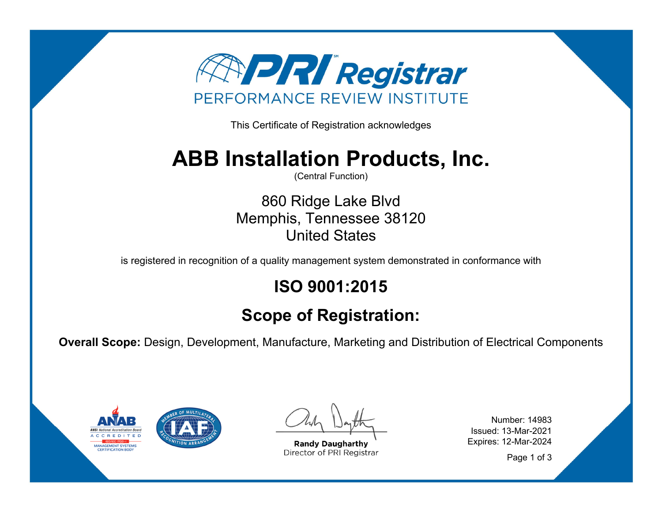

This Certificate of Registration acknowledges

## **ABB Installation Products, Inc.**

(Central Function)

860 Ridge Lake Blvd Memphis, Tennessee 38120 United States

is registered in recognition of a quality management system demonstrated in conformance with

## **ISO 9001:2015**

## **Scope of Registration:**

**Overall Scope:** Design, Development, Manufacture, Marketing and Distribution of Electrical Components



**Randy Daugharthy** Director of PRI Registrar

Number: 14983 Issued: 13-Mar-2021 Expires: 12-Mar-2024

Page 1 of 3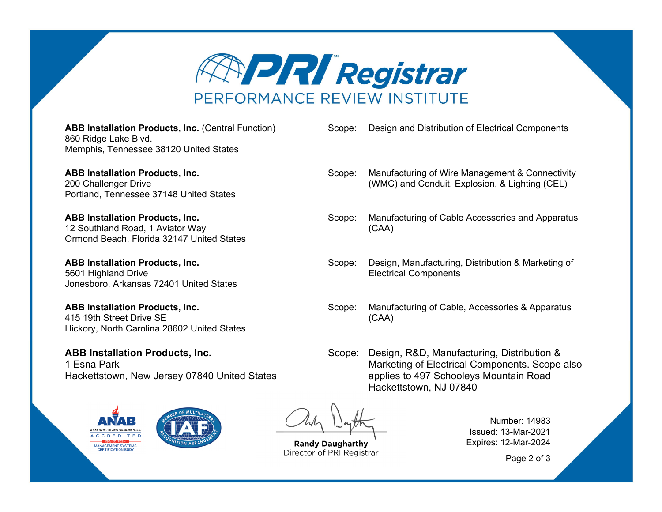

**ABB Installation Products, Inc.** (Central Function) 860 Ridge Lake Blvd. Memphis, Tennessee 38120 United States

**ABB Installation Products, Inc.**  200 Challenger Drive Portland, Tennessee 37148 United States

**ABB Installation Products, Inc.**  12 Southland Road, 1 Aviator Way Ormond Beach, Florida 32147 United States

**ABB Installation Products, Inc.**  5601 Highland Drive Jonesboro, Arkansas 72401 United States

**ABB Installation Products, Inc.**  415 19th Street Drive SE Hickory, North Carolina 28602 United States

**ABB Installation Products, Inc.**  1 Esna Park Hackettstown, New Jersey 07840 United States



Scope: Design and Distribution of Electrical Components

- Scope: Manufacturing of Wire Management & Connectivity (WMC) and Conduit, Explosion, & Lighting (CEL)
- Scope: Manufacturing of Cable Accessories and Apparatus (CAA)
- Scope: Design, Manufacturing, Distribution & Marketing of Electrical Components
- Scope: Manufacturing of Cable, Accessories & Apparatus (CAA)

Scope: Design, R&D, Manufacturing, Distribution & Marketing of Electrical Components. Scope also applies to 497 Schooleys Mountain Road Hackettstown, NJ 07840

**Randy Daugharthy** Director of PRI Registrar

Number: 14983 Issued: 13-Mar-2021 Expires: 12-Mar-2024

Page 2 of 3